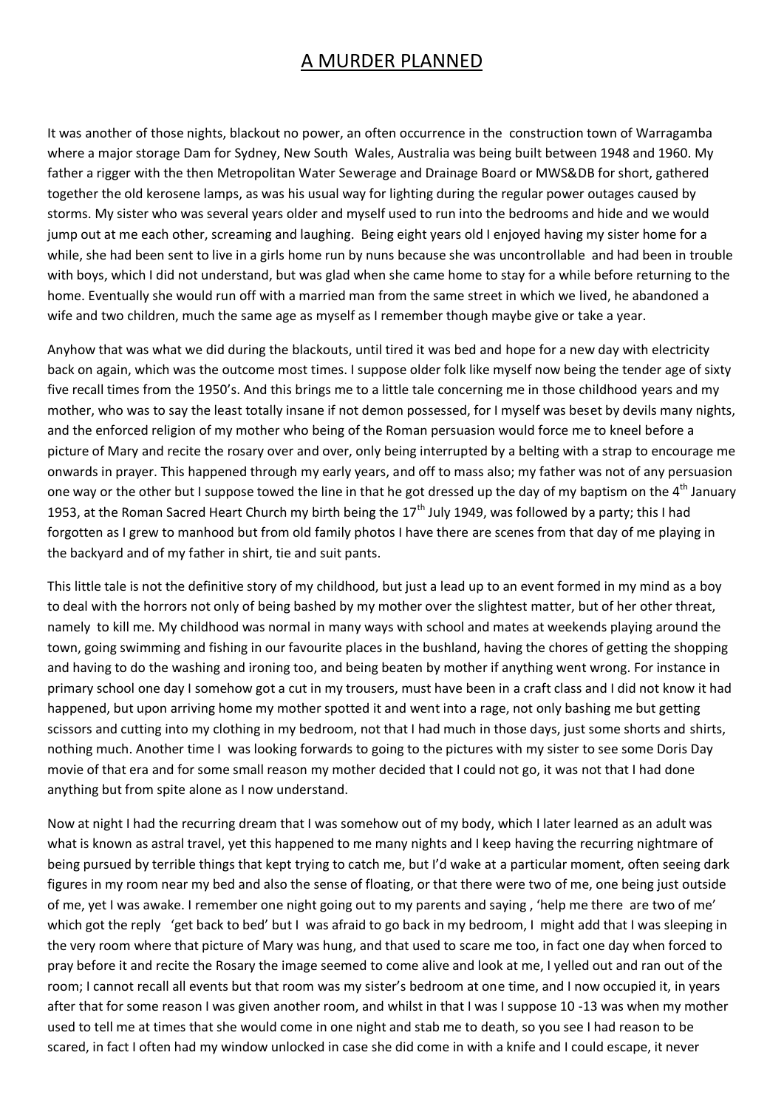## A MURDER PLANNED

It was another of those nights, blackout no power, an often occurrence in the construction town of Warragamba where a major storage Dam for Sydney, New South Wales, Australia was being built between 1948 and 1960. My father a rigger with the then Metropolitan Water Sewerage and Drainage Board or MWS&DB for short, gathered together the old kerosene lamps, as was his usual way for lighting during the regular power outages caused by storms. My sister who was several years older and myself used to run into the bedrooms and hide and we would jump out at me each other, screaming and laughing. Being eight years old I enjoyed having my sister home for a while, she had been sent to live in a girls home run by nuns because she was uncontrollable and had been in trouble with boys, which I did not understand, but was glad when she came home to stay for a while before returning to the home. Eventually she would run off with a married man from the same street in which we lived, he abandoned a wife and two children, much the same age as myself as I remember though maybe give or take a year.

Anyhow that was what we did during the blackouts, until tired it was bed and hope for a new day with electricity back on again, which was the outcome most times. I suppose older folk like myself now being the tender age of sixty five recall times from the 1950's. And this brings me to a little tale concerning me in those childhood years and my mother, who was to say the least totally insane if not demon possessed, for I myself was beset by devils many nights, and the enforced religion of my mother who being of the Roman persuasion would force me to kneel before a picture of Mary and recite the rosary over and over, only being interrupted by a belting with a strap to encourage me onwards in prayer. This happened through my early years, and off to mass also; my father was not of any persuasion one way or the other but I suppose towed the line in that he got dressed up the day of my baptism on the 4<sup>th</sup> January 1953, at the Roman Sacred Heart Church my birth being the  $17<sup>th</sup>$  July 1949, was followed by a party; this I had forgotten as I grew to manhood but from old family photos I have there are scenes from that day of me playing in the backyard and of my father in shirt, tie and suit pants.

This little tale is not the definitive story of my childhood, but just a lead up to an event formed in my mind as a boy to deal with the horrors not only of being bashed by my mother over the slightest matter, but of her other threat, namely to kill me. My childhood was normal in many ways with school and mates at weekends playing around the town, going swimming and fishing in our favourite places in the bushland, having the chores of getting the shopping and having to do the washing and ironing too, and being beaten by mother if anything went wrong. For instance in primary school one day I somehow got a cut in my trousers, must have been in a craft class and I did not know it had happened, but upon arriving home my mother spotted it and went into a rage, not only bashing me but getting scissors and cutting into my clothing in my bedroom, not that I had much in those days, just some shorts and shirts, nothing much. Another time I was looking forwards to going to the pictures with my sister to see some Doris Day movie of that era and for some small reason my mother decided that I could not go, it was not that I had done anything but from spite alone as I now understand.

Now at night I had the recurring dream that I was somehow out of my body, which I later learned as an adult was what is known as astral travel, yet this happened to me many nights and I keep having the recurring nightmare of being pursued by terrible things that kept trying to catch me, but I'd wake at a particular moment, often seeing dark figures in my room near my bed and also the sense of floating, or that there were two of me, one being just outside of me, yet I was awake. I remember one night going out to my parents and saying , 'help me there are two of me' which got the reply 'get back to bed' but I was afraid to go back in my bedroom, I might add that I was sleeping in the very room where that picture of Mary was hung, and that used to scare me too, in fact one day when forced to pray before it and recite the Rosary the image seemed to come alive and look at me, I yelled out and ran out of the room; I cannot recall all events but that room was my sister's bedroom at one time, and I now occupied it, in years after that for some reason I was given another room, and whilst in that I was I suppose 10 -13 was when my mother used to tell me at times that she would come in one night and stab me to death, so you see I had reason to be scared, in fact I often had my window unlocked in case she did come in with a knife and I could escape, it never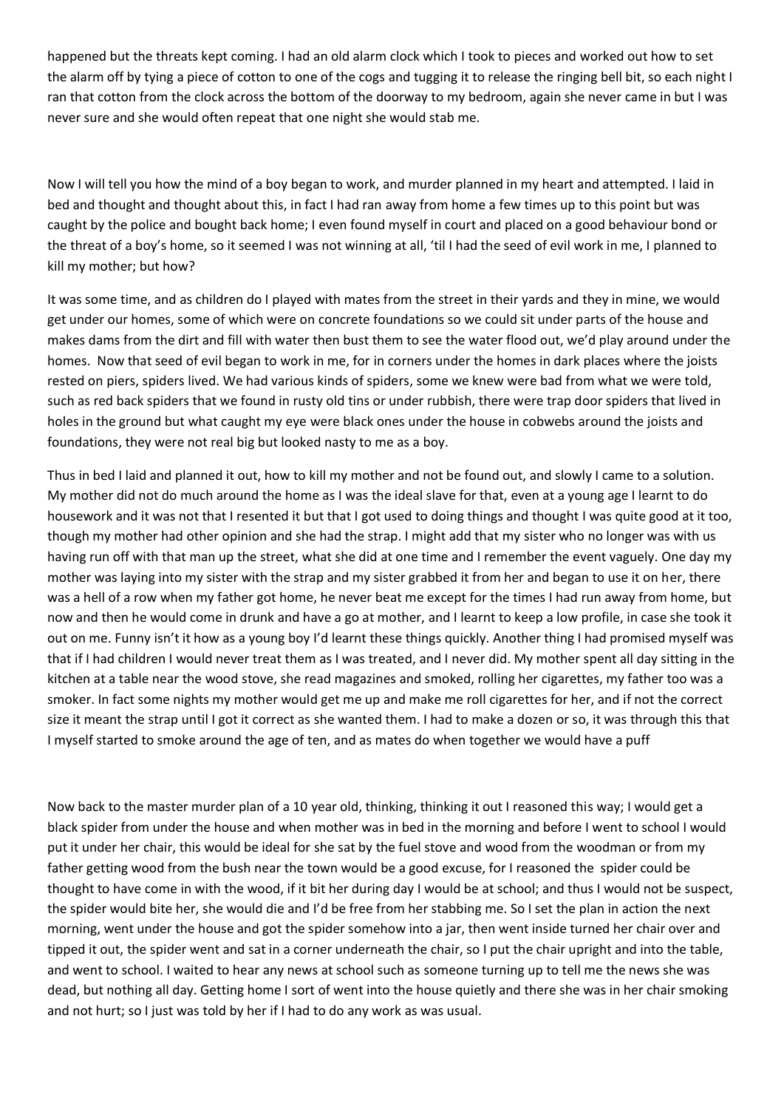happened but the threats kept coming. I had an old alarm clock which I took to pieces and worked out how to set the alarm off by tying a piece of cotton to one of the cogs and tugging it to release the ringing bell bit, so each night I ran that cotton from the clock across the bottom of the doorway to my bedroom, again she never came in but I was never sure and she would often repeat that one night she would stab me.

Now I will tell you how the mind of a boy began to work, and murder planned in my heart and attempted. I laid in bed and thought and thought about this, in fact I had ran away from home a few times up to this point but was caught by the police and bought back home; I even found myself in court and placed on a good behaviour bond or the threat of a boy's home, so it seemed I was not winning at all, 'til I had the seed of evil work in me, I planned to kill my mother; but how?

It was some time, and as children do I played with mates from the street in their yards and they in mine, we would get under our homes, some of which were on concrete foundations so we could sit under parts of the house and makes dams from the dirt and fill with water then bust them to see the water flood out, we'd play around under the homes. Now that seed of evil began to work in me, for in corners under the homes in dark places where the joists rested on piers, spiders lived. We had various kinds of spiders, some we knew were bad from what we were told, such as red back spiders that we found in rusty old tins or under rubbish, there were trap door spiders that lived in holes in the ground but what caught my eye were black ones under the house in cobwebs around the joists and foundations, they were not real big but looked nasty to me as a boy.

Thus in bed I laid and planned it out, how to kill my mother and not be found out, and slowly I came to a solution. My mother did not do much around the home as I was the ideal slave for that, even at a young age I learnt to do housework and it was not that I resented it but that I got used to doing things and thought I was quite good at it too, though my mother had other opinion and she had the strap. I might add that my sister who no longer was with us having run off with that man up the street, what she did at one time and I remember the event vaguely. One day my mother was laying into my sister with the strap and my sister grabbed it from her and began to use it on her, there was a hell of a row when my father got home, he never beat me except for the times I had run away from home, but now and then he would come in drunk and have a go at mother, and I learnt to keep a low profile, in case she took it out on me. Funny isn't it how as a young boy I'd learnt these things quickly. Another thing I had promised myself was that if I had children I would never treat them as I was treated, and I never did. My mother spent all day sitting in the kitchen at a table near the wood stove, she read magazines and smoked, rolling her cigarettes, my father too was a smoker. In fact some nights my mother would get me up and make me roll cigarettes for her, and if not the correct size it meant the strap until I got it correct as she wanted them. I had to make a dozen or so, it was through this that I myself started to smoke around the age of ten, and as mates do when together we would have a puff

Now back to the master murder plan of a 10 year old, thinking, thinking it out I reasoned this way; I would get a black spider from under the house and when mother was in bed in the morning and before I went to school I would put it under her chair, this would be ideal for she sat by the fuel stove and wood from the woodman or from my father getting wood from the bush near the town would be a good excuse, for I reasoned the spider could be thought to have come in with the wood, if it bit her during day I would be at school; and thus I would not be suspect, the spider would bite her, she would die and I'd be free from her stabbing me. So I set the plan in action the next morning, went under the house and got the spider somehow into a jar, then went inside turned her chair over and tipped it out, the spider went and sat in a corner underneath the chair, so I put the chair upright and into the table, and went to school. I waited to hear any news at school such as someone turning up to tell me the news she was dead, but nothing all day. Getting home I sort of went into the house quietly and there she was in her chair smoking and not hurt; so I just was told by her if I had to do any work as was usual.